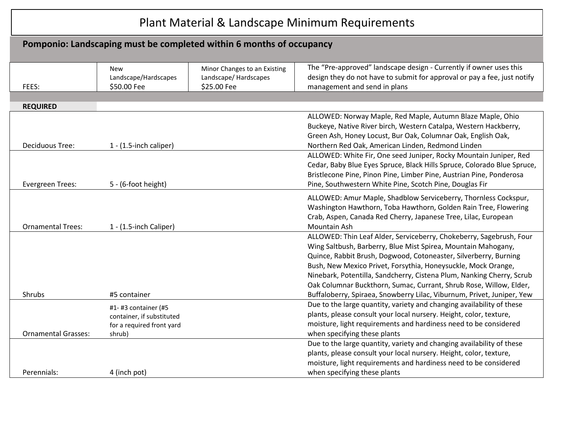# Plant Material & Landscape Minimum Requirements

# **Pomponio: Landscaping must be completed within 6 months of occupancy**

|                            | <b>New</b><br>Landscape/Hardscapes | Minor Changes to an Existing<br>Landscape/ Hardscapes | The "Pre-approved" landscape design - Currently if owner uses this<br>design they do not have to submit for approval or pay a fee, just notify |
|----------------------------|------------------------------------|-------------------------------------------------------|------------------------------------------------------------------------------------------------------------------------------------------------|
| FEES:                      | \$50.00 Fee                        | \$25.00 Fee                                           | management and send in plans                                                                                                                   |
|                            |                                    |                                                       |                                                                                                                                                |
| <b>REQUIRED</b>            |                                    |                                                       |                                                                                                                                                |
|                            |                                    |                                                       | ALLOWED: Norway Maple, Red Maple, Autumn Blaze Maple, Ohio                                                                                     |
|                            |                                    |                                                       | Buckeye, Native River birch, Western Catalpa, Western Hackberry,                                                                               |
|                            |                                    |                                                       | Green Ash, Honey Locust, Bur Oak, Columnar Oak, English Oak,                                                                                   |
| <b>Deciduous Tree:</b>     | $1 - (1.5$ -inch caliper)          |                                                       | Northern Red Oak, American Linden, Redmond Linden                                                                                              |
|                            |                                    |                                                       | ALLOWED: White Fir, One seed Juniper, Rocky Mountain Juniper, Red                                                                              |
|                            |                                    |                                                       | Cedar, Baby Blue Eyes Spruce, Black Hills Spruce, Colorado Blue Spruce,                                                                        |
|                            |                                    |                                                       | Bristlecone Pine, Pinon Pine, Limber Pine, Austrian Pine, Ponderosa                                                                            |
| <b>Evergreen Trees:</b>    | 5 - (6-foot height)                |                                                       | Pine, Southwestern White Pine, Scotch Pine, Douglas Fir                                                                                        |
|                            |                                    |                                                       | ALLOWED: Amur Maple, Shadblow Serviceberry, Thornless Cockspur,                                                                                |
|                            |                                    |                                                       | Washington Hawthorn, Toba Hawthorn, Golden Rain Tree, Flowering                                                                                |
|                            |                                    |                                                       | Crab, Aspen, Canada Red Cherry, Japanese Tree, Lilac, European                                                                                 |
| <b>Ornamental Trees:</b>   | $1 - (1.5$ -inch Caliper)          |                                                       | Mountain Ash                                                                                                                                   |
|                            |                                    |                                                       | ALLOWED: Thin Leaf Alder, Serviceberry, Chokeberry, Sagebrush, Four                                                                            |
|                            |                                    |                                                       | Wing Saltbush, Barberry, Blue Mist Spirea, Mountain Mahogany,                                                                                  |
|                            |                                    |                                                       | Quince, Rabbit Brush, Dogwood, Cotoneaster, Silverberry, Burning                                                                               |
|                            |                                    |                                                       | Bush, New Mexico Privet, Forsythia, Honeysuckle, Mock Orange,                                                                                  |
|                            |                                    |                                                       | Ninebark, Potentilla, Sandcherry, Cistena Plum, Nanking Cherry, Scrub                                                                          |
|                            |                                    |                                                       | Oak Columnar Buckthorn, Sumac, Currant, Shrub Rose, Willow, Elder,                                                                             |
| Shrubs                     | #5 container                       |                                                       | Buffaloberry, Spiraea, Snowberry Lilac, Viburnum, Privet, Juniper, Yew                                                                         |
|                            | #1- #3 container (#5               |                                                       | Due to the large quantity, variety and changing availability of these                                                                          |
|                            | container, if substituted          |                                                       | plants, please consult your local nursery. Height, color, texture,                                                                             |
|                            | for a required front yard          |                                                       | moisture, light requirements and hardiness need to be considered                                                                               |
| <b>Ornamental Grasses:</b> | shrub)                             |                                                       | when specifying these plants                                                                                                                   |
|                            |                                    |                                                       | Due to the large quantity, variety and changing availability of these                                                                          |
|                            |                                    |                                                       | plants, please consult your local nursery. Height, color, texture,                                                                             |
|                            |                                    |                                                       | moisture, light requirements and hardiness need to be considered                                                                               |
| Perennials:                | 4 (inch pot)                       |                                                       | when specifying these plants                                                                                                                   |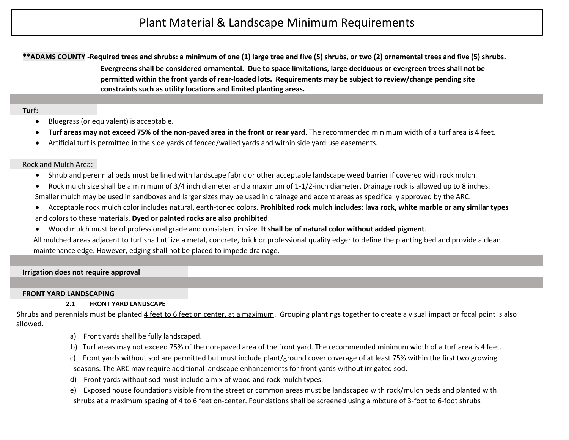**\*\*ADAMS COUNTY -Required trees and shrubs: a minimum of one (1) large tree and five (5) shrubs, or two (2) ornamental trees and five (5) shrubs. Evergreens shall be considered ornamental. Due to space limitations, large deciduous or evergreen trees shall not be permitted within the front yards of rear-loaded lots. Requirements may be subject to review/change pending site constraints such as utility locations and limited planting areas.**

#### **Turf:**

- Bluegrass (or equivalent) is acceptable.
- **Turf areas may not exceed 75% of the non-paved area in the front or rear yard.** The recommended minimum width of a turf area is 4 feet.
- Artificial turf is permitted in the side yards of fenced/walled yards and within side yard use easements.

### Rock and Mulch Area:

- Shrub and perennial beds must be lined with landscape fabric or other acceptable landscape weed barrier if covered with rock mulch.
- Rock mulch size shall be a minimum of 3/4 inch diameter and a maximum of 1-1/2-inch diameter. Drainage rock is allowed up to 8 inches. Smaller mulch may be used in sandboxes and larger sizes may be used in drainage and accent areas as specifically approved by the ARC.
- Acceptable rock mulch color includes natural, earth-toned colors. **Prohibited rock mulch includes: lava rock, white marble or any similar types**  and colors to these materials. **Dyed or painted rocks are also prohibited**.
- Wood mulch must be of professional grade and consistent in size. **It shall be of natural color without added pigment**.

 All mulched areas adjacent to turf shall utilize a metal, concrete, brick or professional quality edger to define the planting bed and provide a clean maintenance edge. However, edging shall not be placed to impede drainage.

#### **Irrigation does not require approval**

#### **FRONT YARD LANDSCAPING**

## **2.1 FRONT YARD LANDSCAPE**

Shrubs and perennials must be planted 4 feet to 6 feet on center, at a maximum. Grouping plantings together to create a visual impact or focal point is also allowed.

- a) Front yards shall be fully landscaped.
- b) Turf areas may not exceed 75% of the non-paved area of the front yard. The recommended minimum width of a turf area is 4 feet.
- c) Front yards without sod are permitted but must include plant/ground cover coverage of at least 75% within the first two growing seasons. The ARC may require additional landscape enhancements for front yards without irrigated sod.
- d) Front yards without sod must include a mix of wood and rock mulch types.
- e) Exposed house foundations visible from the street or common areas must be landscaped with rock/mulch beds and planted with shrubs at a maximum spacing of 4 to 6 feet on-center. Foundations shall be screened using a mixture of 3-foot to 6-foot shrubs